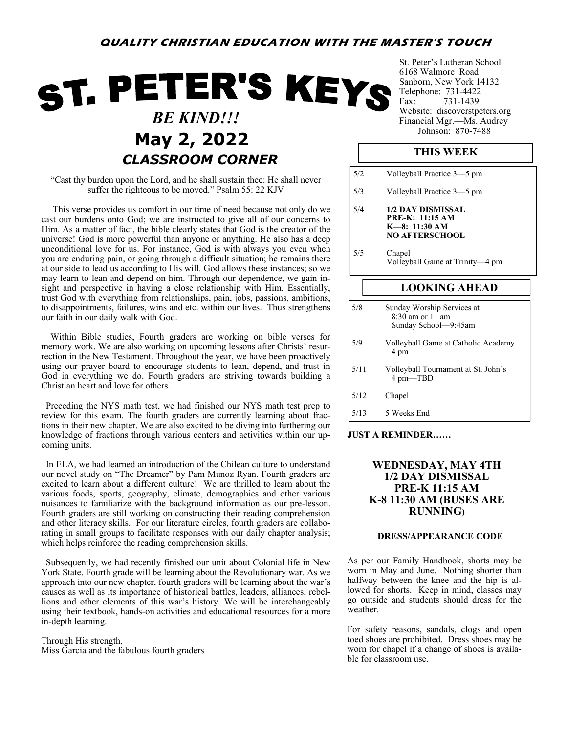# ST. PETER'S KEYS  *BE KIND!!!* **May 2, 2022** *Johnson: 870-7488 CLASSROOM CORNER*

"Cast thy burden upon the Lord, and he shall sustain thee: He shall never suffer the righteous to be moved." Psalm 55: 22 KJV

 This verse provides us comfort in our time of need because not only do we cast our burdens onto God; we are instructed to give all of our concerns to Him. As a matter of fact, the bible clearly states that God is the creator of the universe! God is more powerful than anyone or anything. He also has a deep unconditional love for us. For instance, God is with always you even when you are enduring pain, or going through a difficult situation; he remains there at our side to lead us according to His will. God allows these instances; so we may learn to lean and depend on him. Through our dependence, we gain insight and perspective in having a close relationship with Him. Essentially, trust God with everything from relationships, pain, jobs, passions, ambitions, to disappointments, failures, wins and etc. within our lives. Thus strengthens our faith in our daily walk with God.

 Within Bible studies, Fourth graders are working on bible verses for memory work. We are also working on upcoming lessons after Christs' resurrection in the New Testament. Throughout the year, we have been proactively using our prayer board to encourage students to lean, depend, and trust in God in everything we do. Fourth graders are striving towards building a Christian heart and love for others.

 Preceding the NYS math test, we had finished our NYS math test prep to review for this exam. The fourth graders are currently learning about fractions in their new chapter. We are also excited to be diving into furthering our knowledge of fractions through various centers and activities within our upcoming units.

 In ELA, we had learned an introduction of the Chilean culture to understand our novel study on "The Dreamer" by Pam Munoz Ryan. Fourth graders are excited to learn about a different culture! We are thrilled to learn about the various foods, sports, geography, climate, demographics and other various nuisances to familiarize with the background information as our pre-lesson. Fourth graders are still working on constructing their reading comprehension and other literacy skills. For our literature circles, fourth graders are collaborating in small groups to facilitate responses with our daily chapter analysis; which helps reinforce the reading comprehension skills.

 Subsequently, we had recently finished our unit about Colonial life in New York State. Fourth grade will be learning about the Revolutionary war. As we approach into our new chapter, fourth graders will be learning about the war's causes as well as its importance of historical battles, leaders, alliances, rebellions and other elements of this war's history. We will be interchangeably using their textbook, hands-on activities and educational resources for a more in-depth learning.

Through His strength, Miss Garcia and the fabulous fourth graders St. Peter's Lutheran School 6168 Walmore Road Sanborn, New York 14132 Telephone: 731-4422 Fax: 731-1439 Website: discoverstpeters.org Financial Mgr.—Ms. Audrey

## **THIS WEEK**

| 5/2  | Volleyball Practice 3–5 pm                                                              |  |  |
|------|-----------------------------------------------------------------------------------------|--|--|
| 5/3  | Volleyball Practice 3-5 pm                                                              |  |  |
| 5/4  | 1/2 DAY DISMISSAL<br><b>PRE-K: 11:15 AM</b><br>$K=8: 11:30 AM$<br><b>NO AFTERSCHOOL</b> |  |  |
| 5/5  | Chapel<br>Volleyball Game at Trinity-4 pm                                               |  |  |
|      | <b>LOOKING AHEAD</b>                                                                    |  |  |
| 5/8  | Sunday Worship Services at<br>8:30 am or 11 am<br>Sunday School-9:45am                  |  |  |
| 5/9  | Volleyball Game at Catholic Academy<br>4 pm                                             |  |  |
| 5/11 | Volleyball Tournament at St. John's<br>4 pm—TBD                                         |  |  |

- 5/12 Chapel
- 5/13 5 Weeks End

### **JUST A REMINDER……**

## **WEDNESDAY, MAY 4TH 1/2 DAY DISMISSAL PRE-K 11:15 AM K-8 11:30 AM (BUSES ARE RUNNING)**

#### **DRESS/APPEARANCE CODE**

As per our Family Handbook, shorts may be worn in May and June. Nothing shorter than halfway between the knee and the hip is allowed for shorts. Keep in mind, classes may go outside and students should dress for the weather.

For safety reasons, sandals, clogs and open toed shoes are prohibited. Dress shoes may be worn for chapel if a change of shoes is available for classroom use.